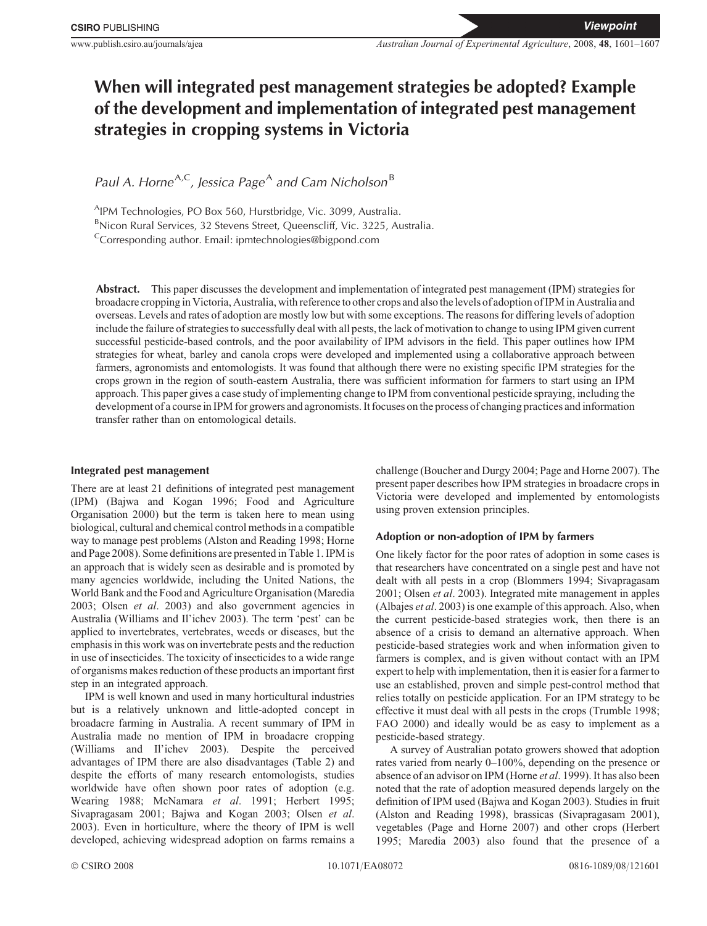# **When will integrated pest management strategies be adopted? Example of the development and implementation of integrated pest management strategies in cropping systems in Victoria**

*Paul A. Horne*<sup>A,C</sup>, Jessica Page<sup>A</sup> and Cam Nicholson<sup>B</sup>

<sup>A</sup>IPM Technologies, PO Box 560, Hurstbridge, Vic. 3099, Australia.

<sup>B</sup>Nicon Rural Services, 32 Stevens Street, Queenscliff, Vic. 3225, Australia.

 ${}^{\text{c}}$ Corresponding author. Email: ipmtechnologies@bigpond.com

**Abstract.** This paper discusses the development and implementation of integrated pest management (IPM) strategies for broadacre cropping in Victoria, Australia, with reference to other crops and also the levels of adoption of IPM in Australia and overseas. Levels and rates of adoption are mostly low but with some exceptions. The reasons for differing levels of adoption include the failure of strategies to successfully deal with all pests, the lack of motivation to change to using IPM given current successful pesticide-based controls, and the poor availability of IPM advisors in the field. This paper outlines how IPM strategies for wheat, barley and canola crops were developed and implemented using a collaborative approach between farmers, agronomists and entomologists. It was found that although there were no existing specific IPM strategies for the crops grown in the region of south-eastern Australia, there was sufficient information for farmers to start using an IPM approach. This paper gives a case study of implementing change to IPM from conventional pesticide spraying, including the development of a course in IPM for growers and agronomists. It focuses on the process of changing practices and information transfer rather than on entomological details.

## **Integrated pest management**

There are at least 21 definitions of integrated pest management (IPM) ([Bajwa and Kogan 1996](#page-5-0); [Food and Agriculture](#page-5-0) [Organisation 2000\)](#page-5-0) but the term is taken here to mean using biological, cultural and chemical control methods in a compatible way to manage pest problems [\(Alston and Reading 1998](#page-5-0); [Horne](#page-5-0) [and Page 2008](#page-5-0)). Some definitions are presented in [Table 1](#page-1-0). IPM is an approach that is widely seen as desirable and is promoted by many agencies worldwide, including the United Nations, the World Bank and the Food and Agriculture Organisation [\(Maredia](#page-5-0) [2003](#page-5-0); Olsen *et al*[. 2003\)](#page-6-0) and also government agencies in Australia ([Williams and Il](#page-6-0)'[ichev 2003](#page-6-0)). The term 'pest' can be applied to invertebrates, vertebrates, weeds or diseases, but the emphasis in this work was on invertebrate pests and the reduction in use of insecticides. The toxicity of insecticides to a wide range of organisms makes reduction of these products an important first step in an integrated approach.

IPM is well known and used in many horticultural industries but is a relatively unknown and little-adopted concept in broadacre farming in Australia. A recent summary of IPM in Australia made no mention of IPM in broadacre cropping ([Williams and Il](#page-6-0)'[ichev 2003\)](#page-6-0). Despite the perceived advantages of IPM there are also disadvantages [\(Table 2\)](#page-1-0) and despite the efforts of many research entomologists, studies worldwide have often shown poor rates of adoption (e.g. [Wearing 1988;](#page-6-0) [McNamara](#page-5-0) *et al*. 1991; [Herbert 1995](#page-5-0); [Sivapragasam 2001](#page-6-0); [Bajwa and Kogan 2003;](#page-5-0) [Olsen](#page-6-0) *et al*. [2003](#page-6-0)). Even in horticulture, where the theory of IPM is well developed, achieving widespread adoption on farms remains a challenge [\(Boucher and Durgy 2004;](#page-5-0) [Page and Horne 2007\)](#page-6-0). The present paper describes how IPM strategies in broadacre crops in Victoria were developed and implemented by entomologists using proven extension principles.

# **Adoption or non-adoption of IPM by farmers**

One likely factor for the poor rates of adoption in some cases is that researchers have concentrated on a single pest and have not dealt with all pests in a crop ([Blommers 1994](#page-5-0); [Sivapragasam](#page-6-0) [2001;](#page-6-0) Olsen *et al*[. 2003\)](#page-6-0). Integrated mite management in apples ([Albajes](#page-5-0) *et al*. 2003) is one example of this approach. Also, when the current pesticide-based strategies work, then there is an absence of a crisis to demand an alternative approach. When pesticide-based strategies work and when information given to farmers is complex, and is given without contact with an IPM expert to help with implementation, then it is easier for a farmer to use an established, proven and simple pest-control method that relies totally on pesticide application. For an IPM strategy to be effective it must deal with all pests in the crops [\(Trumble 1998](#page-6-0); [FAO 2000](#page-5-0)) and ideally would be as easy to implement as a pesticide-based strategy.

A survey of Australian potato growers showed that adoption rates varied from nearly 0–100%, depending on the presence or absence of an advisor on IPM [\(Horne](#page-5-0) *et al*. 1999). It has also been noted that the rate of adoption measured depends largely on the definition of IPM used [\(Bajwa and Kogan 2003](#page-5-0)). Studies in fruit ([Alston and Reading 1998\)](#page-5-0), brassicas [\(Sivapragasam 2001](#page-6-0)), vegetables [\(Page and Horne 2007\)](#page-6-0) and other crops [\(Herbert](#page-5-0) [1995; Maredia 2003\)](#page-5-0) also found that the presence of a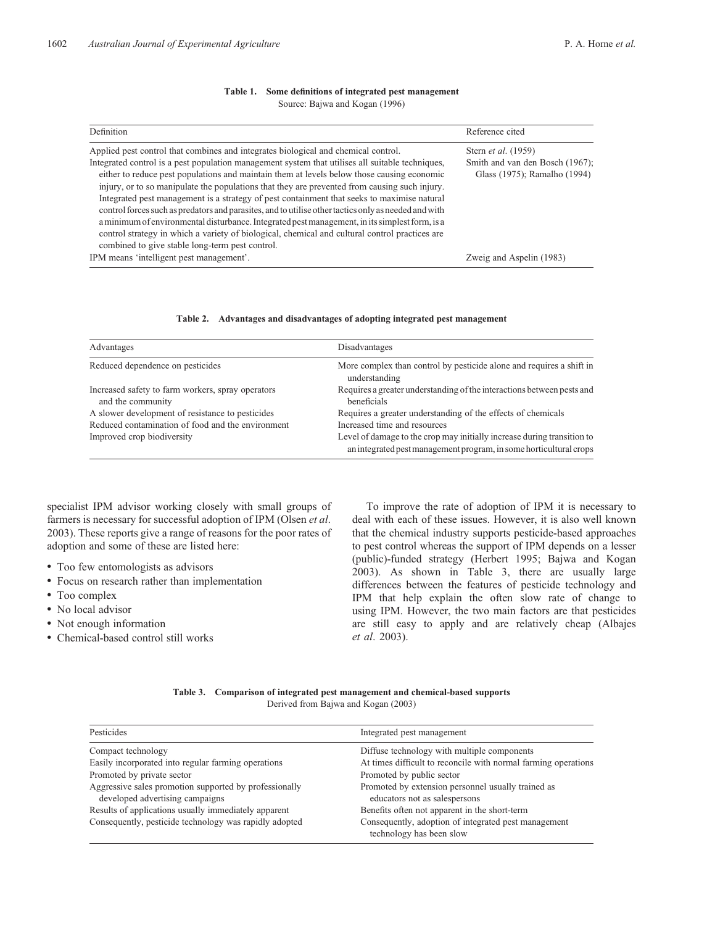<span id="page-1-0"></span>

| Definition                                                                                                                                                                                                                                                                                                                                                                                                                                                                                                                                                                                                                                                                                                                                                                                                                                          | Reference cited                                                                        |
|-----------------------------------------------------------------------------------------------------------------------------------------------------------------------------------------------------------------------------------------------------------------------------------------------------------------------------------------------------------------------------------------------------------------------------------------------------------------------------------------------------------------------------------------------------------------------------------------------------------------------------------------------------------------------------------------------------------------------------------------------------------------------------------------------------------------------------------------------------|----------------------------------------------------------------------------------------|
| Applied pest control that combines and integrates biological and chemical control.<br>Integrated control is a pest population management system that utilises all suitable techniques,<br>either to reduce pest populations and maintain them at levels below those causing economic<br>injury, or to so manipulate the populations that they are prevented from causing such injury.<br>Integrated pest management is a strategy of pest containment that seeks to maximise natural<br>control forces such as predators and parasites, and to utilise other tactics only as needed and with<br>a minimum of environmental disturbance. Integrated pest management, in its simplest form, is a<br>control strategy in which a variety of biological, chemical and cultural control practices are<br>combined to give stable long-term pest control. | Stern et al. (1959)<br>Smith and van den Bosch (1967);<br>Glass (1975); Ramalho (1994) |
| IPM means 'intelligent pest management'.                                                                                                                                                                                                                                                                                                                                                                                                                                                                                                                                                                                                                                                                                                                                                                                                            | Zweig and Aspelin (1983)                                                               |

#### **Table 1. Some definitions of integrated pest management** Source: [Bajwa and Kogan \(1996\)](#page-5-0)

|  | Table 2. Advantages and disadvantages of adopting integrated pest management |  |  |  |  |  |
|--|------------------------------------------------------------------------------|--|--|--|--|--|
|--|------------------------------------------------------------------------------|--|--|--|--|--|

| Advantages                                                             | Disadvantages                                                                                                                                 |
|------------------------------------------------------------------------|-----------------------------------------------------------------------------------------------------------------------------------------------|
| Reduced dependence on pesticides                                       | More complex than control by pesticide alone and requires a shift in<br>understanding                                                         |
| Increased safety to farm workers, spray operators<br>and the community | Requires a greater understanding of the interactions between pests and<br>beneficials                                                         |
| A slower development of resistance to pesticides                       | Requires a greater understanding of the effects of chemicals                                                                                  |
| Reduced contamination of food and the environment                      | Increased time and resources                                                                                                                  |
| Improved crop biodiversity                                             | Level of damage to the crop may initially increase during transition to<br>an integrated pest management program, in some horticultural crops |

specialist IPM advisor working closely with small groups of farmers is necessary for successful adoption of IPM [\(Olsen](#page-6-0) *et al*. [2003\)](#page-6-0). These reports give a range of reasons for the poor rates of adoption and some of these are listed here:

- \* Too few entomologists as advisors
- \* Focus on research rather than implementation
- Too complex
- No local advisor
- Not enough information
- \* Chemical-based control still works

To improve the rate of adoption of IPM it is necessary to deal with each of these issues. However, it is also well known that the chemical industry supports pesticide-based approaches to pest control whereas the support of IPM depends on a lesser (public)-funded strategy ([Herbert 1995; Bajwa and Kogan](#page-5-0) [2003\)](#page-5-0). As shown in Table 3, there are usually large differences between the features of pesticide technology and IPM that help explain the often slow rate of change to using IPM. However, the two main factors are that pesticides are still easy to apply and are relatively cheap [\(Albajes](#page-5-0) *et al*[. 2003\)](#page-5-0).

| Table 3. Comparison of integrated pest management and chemical-based supports |
|-------------------------------------------------------------------------------|
| Derived from Bajwa and Kogan (2003)                                           |

| Pesticides                                             | Integrated pest management                                                       |
|--------------------------------------------------------|----------------------------------------------------------------------------------|
| Compact technology                                     | Diffuse technology with multiple components                                      |
| Easily incorporated into regular farming operations    | At times difficult to reconcile with normal farming operations                   |
| Promoted by private sector                             | Promoted by public sector                                                        |
| Aggressive sales promotion supported by professionally | Promoted by extension personnel usually trained as                               |
| developed advertising campaigns                        | educators not as salespersons                                                    |
| Results of applications usually immediately apparent   | Benefits often not apparent in the short-term                                    |
| Consequently, pesticide technology was rapidly adopted | Consequently, adoption of integrated pest management<br>technology has been slow |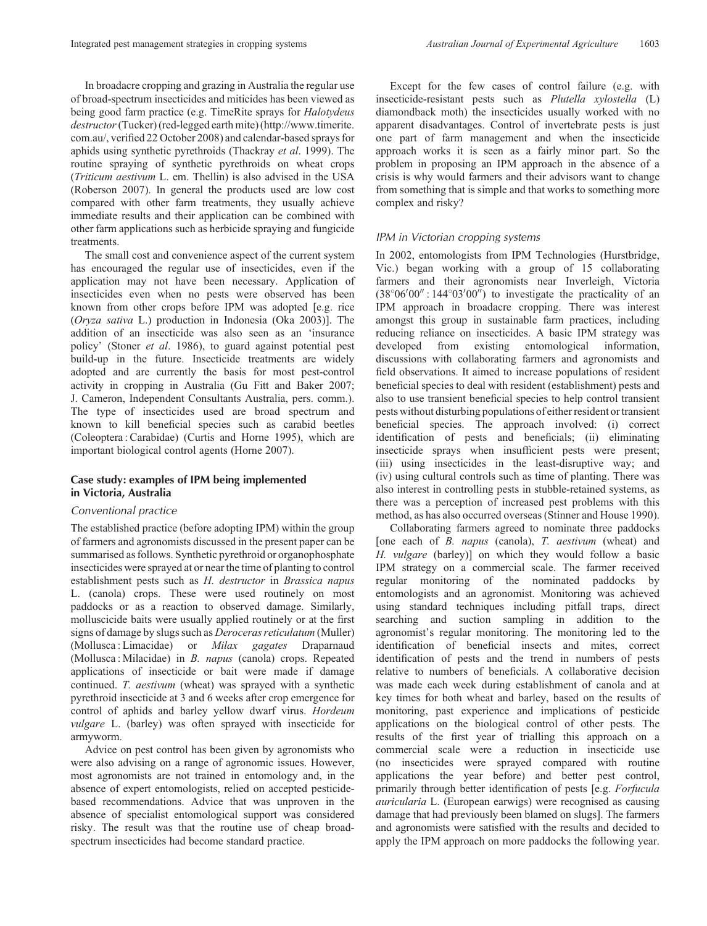In broadacre cropping and grazing in Australia the regular use of broad-spectrum insecticides and miticides has been viewed as being good farm practice (e.g. TimeRite sprays for *Halotydeus destructor*(Tucker) (red-legged earth mite) (http://www.timerite. com.au/, verified 22 October 2008) and calendar-based sprays for aphids using synthetic pyrethroids ([Thackray](#page-6-0) *et al*. 1999). The routine spraying of synthetic pyrethroids on wheat crops (*Triticum aestivum* L. em. Thellin) is also advised in the USA ([Roberson 2007\)](#page-6-0). In general the products used are low cost compared with other farm treatments, they usually achieve immediate results and their application can be combined with other farm applications such as herbicide spraying and fungicide treatments.

The small cost and convenience aspect of the current system has encouraged the regular use of insecticides, even if the application may not have been necessary. Application of insecticides even when no pests were observed has been known from other crops before IPM was adopted [e.g. rice (*Oryza sativa* L.) production in Indonesia [\(Oka 2003](#page-5-0))]. The addition of an insecticide was also seen as an 'insurance policy' (Stoner *et al*[. 1986](#page-6-0)), to guard against potential pest build-up in the future. Insecticide treatments are widely adopted and are currently the basis for most pest-control activity in cropping in Australia [\(Gu Fitt and Baker 2007](#page-5-0); J. Cameron, Independent Consultants Australia, pers. comm.). The type of insecticides used are broad spectrum and known to kill beneficial species such as carabid beetles (Coleoptera : Carabidae) ([Curtis and Horne 1995](#page-5-0)), which are important biological control agents [\(Horne 2007](#page-5-0)).

# **Case study: examples of IPM being implemented in Victoria, Australia**

## *Conventional practice*

The established practice (before adopting IPM) within the group of farmers and agronomists discussed in the present paper can be summarised as follows. Synthetic pyrethroid or organophosphate insecticides were sprayed at or near the time of planting to control establishment pests such as *H. destructor* in *Brassica napus* L. (canola) crops. These were used routinely on most paddocks or as a reaction to observed damage. Similarly, molluscicide baits were usually applied routinely or at the first signs of damage by slugs such as *Deroceras reticulatum* (Muller) (Mollusca : Limacidae) or *Milax gagates* Draparnaud (Mollusca : Milacidae) in *B. napus* (canola) crops. Repeated applications of insecticide or bait were made if damage continued. *T. aestivum* (wheat) was sprayed with a synthetic pyrethroid insecticide at 3 and 6 weeks after crop emergence for control of aphids and barley yellow dwarf virus. *Hordeum vulgare* L. (barley) was often sprayed with insecticide for armyworm.

Advice on pest control has been given by agronomists who were also advising on a range of agronomic issues. However, most agronomists are not trained in entomology and, in the absence of expert entomologists, relied on accepted pesticidebased recommendations. Advice that was unproven in the absence of specialist entomological support was considered risky. The result was that the routine use of cheap broadspectrum insecticides had become standard practice.

Except for the few cases of control failure (e.g. with insecticide-resistant pests such as *Plutella xylostella* (L) diamondback moth) the insecticides usually worked with no apparent disadvantages. Control of invertebrate pests is just one part of farm management and when the insecticide approach works it is seen as a fairly minor part. So the problem in proposing an IPM approach in the absence of a crisis is why would farmers and their advisors want to change from something that is simple and that works to something more complex and risky?

## *IPM in Victorian cropping systems*

In 2002, entomologists from IPM Technologies (Hurstbridge, Vic.) began working with a group of 15 collaborating farmers and their agronomists near Inverleigh, Victoria  $(38^{\circ}06'00'$ : 144 $^{\circ}03'00'$ ) to investigate the practicality of an IPM approach in broadacre cropping. There was interest amongst this group in sustainable farm practices, including reducing reliance on insecticides. A basic IPM strategy was developed from existing entomological information, discussions with collaborating farmers and agronomists and field observations. It aimed to increase populations of resident beneficial species to deal with resident (establishment) pests and also to use transient beneficial species to help control transient pests without disturbing populations of either resident or transient beneficial species. The approach involved: (i) correct identification of pests and beneficials; (ii) eliminating insecticide sprays when insufficient pests were present; (iii) using insecticides in the least-disruptive way; and (iv) using cultural controls such as time of planting. There was also interest in controlling pests in stubble-retained systems, as there was a perception of increased pest problems with this method, as has also occurred overseas [\(Stinner and House 1990](#page-6-0)).

Collaborating farmers agreed to nominate three paddocks [one each of *B. napus* (canola), *T. aestivum* (wheat) and *H. vulgare* (barley)] on which they would follow a basic IPM strategy on a commercial scale. The farmer received regular monitoring of the nominated paddocks by entomologists and an agronomist. Monitoring was achieved using standard techniques including pitfall traps, direct searching and suction sampling in addition to the agronomist's regular monitoring. The monitoring led to the identification of beneficial insects and mites, correct identification of pests and the trend in numbers of pests relative to numbers of beneficials. A collaborative decision was made each week during establishment of canola and at key times for both wheat and barley, based on the results of monitoring, past experience and implications of pesticide applications on the biological control of other pests. The results of the first year of trialling this approach on a commercial scale were a reduction in insecticide use (no insecticides were sprayed compared with routine applications the year before) and better pest control, primarily through better identification of pests [e.g. *Forfucula auricularia* L. (European earwigs) were recognised as causing damage that had previously been blamed on slugs]. The farmers and agronomists were satisfied with the results and decided to apply the IPM approach on more paddocks the following year.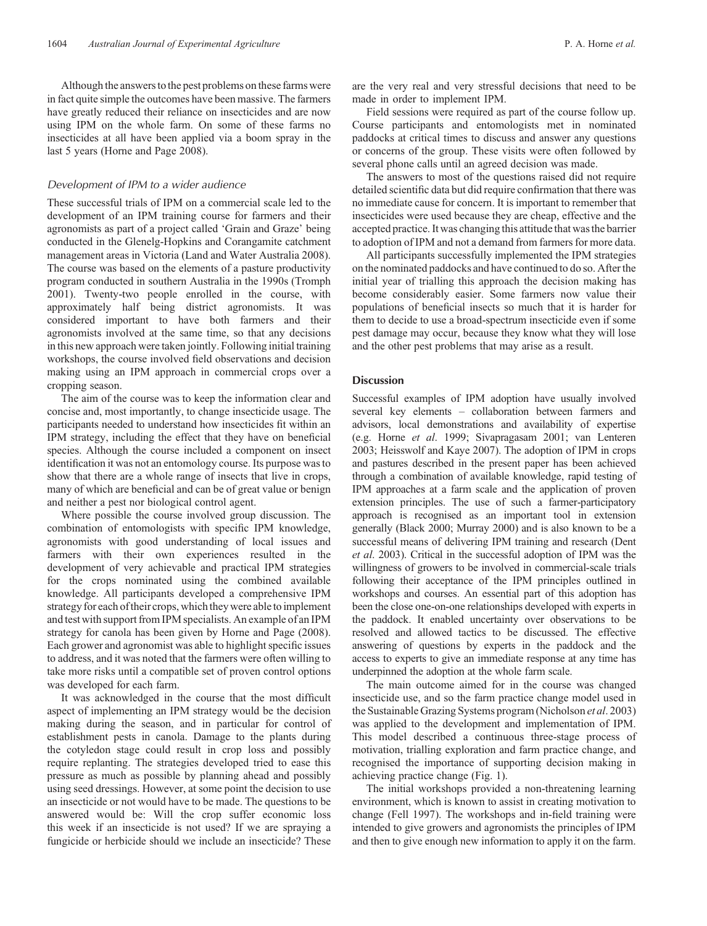Although the answers to the pest problems on these farms were in fact quite simple the outcomes have been massive. The farmers have greatly reduced their reliance on insecticides and are now using IPM on the whole farm. On some of these farms no insecticides at all have been applied via a boom spray in the last 5 years ([Horne and Page 2008](#page-5-0)).

## *Development of IPM to a wider audience*

These successful trials of IPM on a commercial scale led to the development of an IPM training course for farmers and their agronomists as part of a project called 'Grain and Graze' being conducted in the Glenelg-Hopkins and Corangamite catchment management areas in Victoria [\(Land and Water Australia 2008](#page-5-0)). The course was based on the elements of a pasture productivity program conducted in southern Australia in the 1990s [\(Tromph](#page-6-0) [2001\)](#page-6-0). Twenty-two people enrolled in the course, with approximately half being district agronomists. It was considered important to have both farmers and their agronomists involved at the same time, so that any decisions in this new approach were taken jointly. Following initial training workshops, the course involved field observations and decision making using an IPM approach in commercial crops over a cropping season.

The aim of the course was to keep the information clear and concise and, most importantly, to change insecticide usage. The participants needed to understand how insecticides fit within an IPM strategy, including the effect that they have on beneficial species. Although the course included a component on insect identification it was not an entomology course. Its purpose was to show that there are a whole range of insects that live in crops, many of which are beneficial and can be of great value or benign and neither a pest nor biological control agent.

Where possible the course involved group discussion. The combination of entomologists with specific IPM knowledge, agronomists with good understanding of local issues and farmers with their own experiences resulted in the development of very achievable and practical IPM strategies for the crops nominated using the combined available knowledge. All participants developed a comprehensive IPM strategy for each of their crops, which they were able to implement and test with support from IPM specialists. An example of an IPM strategy for canola has been given by [Horne and Page \(2008\)](#page-5-0). Each grower and agronomist was able to highlight specific issues to address, and it was noted that the farmers were often willing to take more risks until a compatible set of proven control options was developed for each farm.

It was acknowledged in the course that the most difficult aspect of implementing an IPM strategy would be the decision making during the season, and in particular for control of establishment pests in canola. Damage to the plants during the cotyledon stage could result in crop loss and possibly require replanting. The strategies developed tried to ease this pressure as much as possible by planning ahead and possibly using seed dressings. However, at some point the decision to use an insecticide or not would have to be made. The questions to be answered would be: Will the crop suffer economic loss this week if an insecticide is not used? If we are spraying a fungicide or herbicide should we include an insecticide? These

are the very real and very stressful decisions that need to be made in order to implement IPM.

Field sessions were required as part of the course follow up. Course participants and entomologists met in nominated paddocks at critical times to discuss and answer any questions or concerns of the group. These visits were often followed by several phone calls until an agreed decision was made.

The answers to most of the questions raised did not require detailed scientific data but did require confirmation that there was no immediate cause for concern. It is important to remember that insecticides were used because they are cheap, effective and the accepted practice. It was changing this attitude that was the barrier to adoption of IPM and not a demand from farmers for more data.

All participants successfully implemented the IPM strategies on the nominated paddocks and have continued to do so. After the initial year of trialling this approach the decision making has become considerably easier. Some farmers now value their populations of beneficial insects so much that it is harder for them to decide to use a broad-spectrum insecticide even if some pest damage may occur, because they know what they will lose and the other pest problems that may arise as a result.

#### **Discussion**

Successful examples of IPM adoption have usually involved several key elements – collaboration between farmers and advisors, local demonstrations and availability of expertise (e.g. Horne *et al*[. 1999;](#page-5-0) [Sivapragasam 2001](#page-6-0); [van Lenteren](#page-6-0) [2003](#page-6-0); [Heisswolf and Kaye 2007\)](#page-5-0). The adoption of IPM in crops and pastures described in the present paper has been achieved through a combination of available knowledge, rapid testing of IPM approaches at a farm scale and the application of proven extension principles. The use of such a farmer-participatory approach is recognised as an important tool in extension generally [\(Black 2000](#page-5-0); [Murray 2000\)](#page-5-0) and is also known to be a successful means of delivering IPM training and research ([Dent](#page-5-0) *et al*[. 2003](#page-5-0)). Critical in the successful adoption of IPM was the willingness of growers to be involved in commercial-scale trials following their acceptance of the IPM principles outlined in workshops and courses. An essential part of this adoption has been the close one-on-one relationships developed with experts in the paddock. It enabled uncertainty over observations to be resolved and allowed tactics to be discussed. The effective answering of questions by experts in the paddock and the access to experts to give an immediate response at any time has underpinned the adoption at the whole farm scale.

The main outcome aimed for in the course was changed insecticide use, and so the farm practice change model used in the Sustainable Grazing Systems program ([Nicholson](#page-5-0) *et al*. 2003) was applied to the development and implementation of IPM. This model described a continuous three-stage process of motivation, trialling exploration and farm practice change, and recognised the importance of supporting decision making in achieving practice change [\(Fig. 1](#page-4-0)).

The initial workshops provided a non-threatening learning environment, which is known to assist in creating motivation to change ([Fell 1997\)](#page-5-0). The workshops and in-field training were intended to give growers and agronomists the principles of IPM and then to give enough new information to apply it on the farm.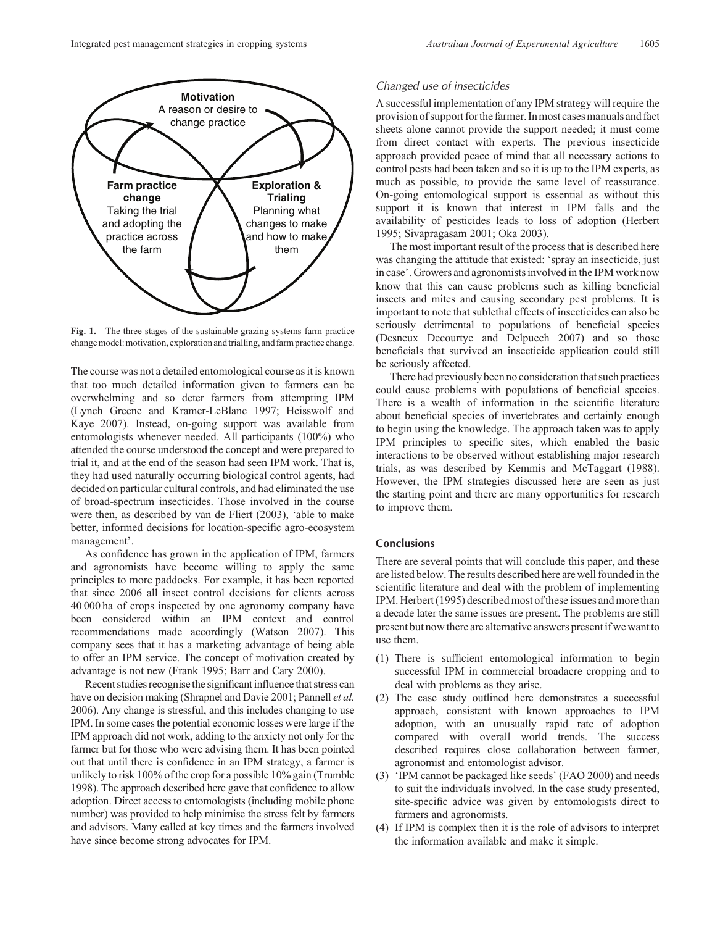<span id="page-4-0"></span>

Fig. 1. The three stages of the sustainable grazing systems farm practice change model: motivation, exploration and trialling, and farm practice change.

The course was not a detailed entomological course as it is known that too much detailed information given to farmers can be overwhelming and so deter farmers from attempting IPM ([Lynch Greene and Kramer-LeBlanc 1997; Heisswolf and](#page-5-0) [Kaye 2007\)](#page-5-0). Instead, on-going support was available from entomologists whenever needed. All participants (100%) who attended the course understood the concept and were prepared to trial it, and at the end of the season had seen IPM work. That is, they had used naturally occurring biological control agents, had decided on particular cultural controls, and had eliminated the use of broad-spectrum insecticides. Those involved in the course were then, as described by [van de Fliert \(2003\),](#page-6-0) 'able to make better, informed decisions for location-specific agro-ecosystem management'.

As confidence has grown in the application of IPM, farmers and agronomists have become willing to apply the same principles to more paddocks. For example, it has been reported that since 2006 all insect control decisions for clients across 40 000 ha of crops inspected by one agronomy company have been considered within an IPM context and control recommendations made accordingly ([Watson 2007\)](#page-6-0). This company sees that it has a marketing advantage of being able to offer an IPM service. The concept of motivation created by advantage is not new [\(Frank 1995; Barr and Cary 2000](#page-5-0)).

Recent studies recognise the significant influence that stress can have on decision making ([Shrapnel and Davie 2001; Pannell](#page-6-0) *et al.* [2006](#page-6-0)). Any change is stressful, and this includes changing to use IPM. In some cases the potential economic losses were large if the IPM approach did not work, adding to the anxiety not only for the farmer but for those who were advising them. It has been pointed out that until there is confidence in an IPM strategy, a farmer is unlikely to risk 100% of the crop for a possible 10% gain [\(Trumble](#page-6-0) [1998](#page-6-0)). The approach described here gave that confidence to allow adoption. Direct access to entomologists (including mobile phone number) was provided to help minimise the stress felt by farmers and advisors. Many called at key times and the farmers involved have since become strong advocates for IPM.

## *Changed use of insecticides*

A successful implementation of any IPM strategy will require the provision of support forthe farmer. In most cases manuals and fact sheets alone cannot provide the support needed; it must come from direct contact with experts. The previous insecticide approach provided peace of mind that all necessary actions to control pests had been taken and so it is up to the IPM experts, as much as possible, to provide the same level of reassurance. On-going entomological support is essential as without this support it is known that interest in IPM falls and the availability of pesticides leads to loss of adoption [\(Herbert](#page-5-0) [1995;](#page-5-0) [Sivapragasam 2001;](#page-6-0) [Oka 2003](#page-5-0)).

The most important result of the process that is described here was changing the attitude that existed: 'spray an insecticide, just in case'. Growers and agronomists involved in the IPM work now know that this can cause problems such as killing beneficial insects and mites and causing secondary pest problems. It is important to note that sublethal effects of insecticides can also be seriously detrimental to populations of beneficial species ([Desneux Decourtye and Delpuech 2007](#page-5-0)) and so those beneficials that survived an insecticide application could still be seriously affected.

There had previously been no consideration that such practices could cause problems with populations of beneficial species. There is a wealth of information in the scientific literature about beneficial species of invertebrates and certainly enough to begin using the knowledge. The approach taken was to apply IPM principles to specific sites, which enabled the basic interactions to be observed without establishing major research trials, as was described by [Kemmis and McTaggart \(1988\)](#page-5-0). However, the IPM strategies discussed here are seen as just the starting point and there are many opportunities for research to improve them.

## **Conclusions**

There are several points that will conclude this paper, and these are listed below. The results described here are well founded in the scientific literature and deal with the problem of implementing IPM. [Herbert \(1995\)](#page-5-0) described most of these issues and more than a decade later the same issues are present. The problems are still present but now there are alternative answers present if we want to use them.

- (1) There is sufficient entomological information to begin successful IPM in commercial broadacre cropping and to deal with problems as they arise.
- (2) The case study outlined here demonstrates a successful approach, consistent with known approaches to IPM adoption, with an unusually rapid rate of adoption compared with overall world trends. The success described requires close collaboration between farmer, agronomist and entomologist advisor.
- (3) 'IPM cannot be packaged like seeds' ([FAO 2000\)](#page-5-0) and needs to suit the individuals involved. In the case study presented, site-specific advice was given by entomologists direct to farmers and agronomists.
- (4) If IPM is complex then it is the role of advisors to interpret the information available and make it simple.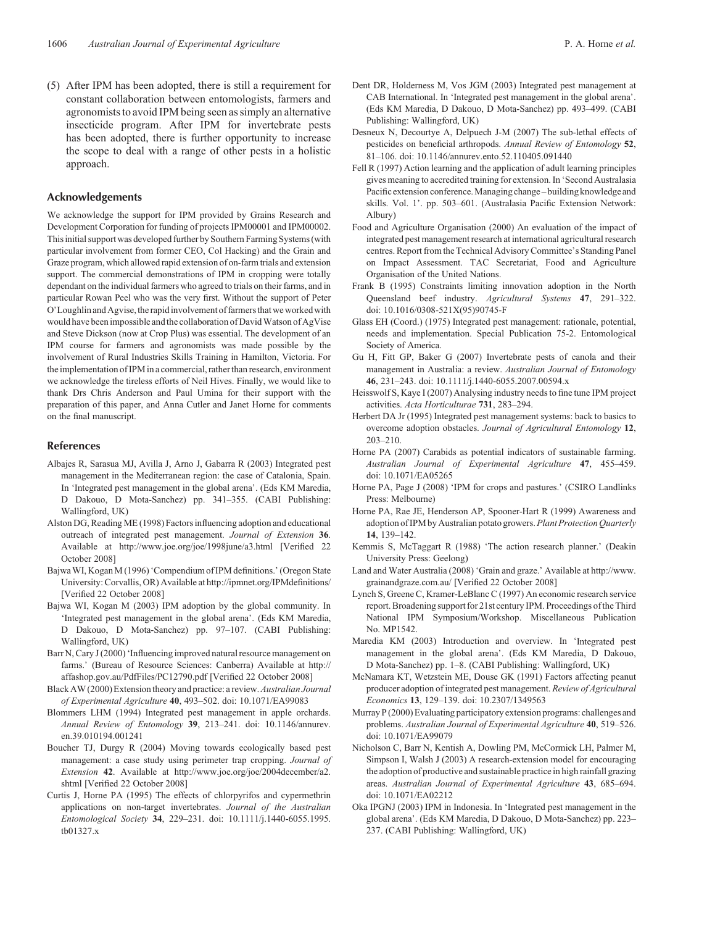<span id="page-5-0"></span>(5) After IPM has been adopted, there is still a requirement for constant collaboration between entomologists, farmers and agronomists to avoid IPM being seen as simply an alternative insecticide program. After IPM for invertebrate pests has been adopted, there is further opportunity to increase the scope to deal with a range of other pests in a holistic approach.

#### **Acknowledgements**

We acknowledge the support for IPM provided by Grains Research and Development Corporation for funding of projects IPM00001 and IPM00002. Thisinitial support was developed further by Southern Farming Systems (with particular involvement from former CEO, Col Hacking) and the Grain and Graze program, which allowed rapid extension of on-farm trials and extension support. The commercial demonstrations of IPM in cropping were totally dependant on the individual farmers who agreed to trials on their farms, and in particular Rowan Peel who was the very first. Without the support of Peter O'Loughlin and Agvise, the rapid involvement of farmers that we worked with would have been impossible and the collaboration of David Watson of AgVise and Steve Dickson (now at Crop Plus) was essential. The development of an IPM course for farmers and agronomists was made possible by the involvement of Rural Industries Skills Training in Hamilton, Victoria. For the implementation of IPM in a commercial, rather than research, environment we acknowledge the tireless efforts of Neil Hives. Finally, we would like to thank Drs Chris Anderson and Paul Umina for their support with the preparation of this paper, and Anna Cutler and Janet Horne for comments on the final manuscript.

#### **References**

- Albajes R, Sarasua MJ, Avilla J, Arno J, Gabarra R (2003) Integrated pest management in the Mediterranean region: the case of Catalonia, Spain. In 'Integrated pest management in the global arena'. (Eds KM Maredia, D Dakouo, D Mota-Sanchez) pp. 341–355. (CABI Publishing: Wallingford, UK)
- Alston DG, Reading ME (1998) Factors influencing adoption and educational outreach of integrated pest management. *Journal of Extension* **36**. Available at http://www.joe.org/joe/1998june/a3.html [Verified 22 October 2008]
- Bajwa WI, Kogan M (1996) 'Compendium of IPM definitions.' (Oregon State University: Corvallis, OR) Available at http://ipmnet.org/IPMdefinitions/ [Verified 22 October 2008]
- Bajwa WI, Kogan M (2003) IPM adoption by the global community. In 'Integrated pest management in the global arena'. (Eds KM Maredia, D Dakouo, D Mota-Sanchez) pp. 97–107. (CABI Publishing: Wallingford, UK)
- Barr N, Cary J (2000) 'Influencing improved natural resource management on farms.' (Bureau of Resource Sciences: Canberra) Available at http:// affashop.gov.au/PdfFiles/PC12790.pdf [Verified 22 October 2008]
- Black AW (2000) Extension theory and practice: a review.*Australian Journal of Experimental Agriculture* **40**, 493–502. doi: 10.1071/EA99083
- Blommers LHM (1994) Integrated pest management in apple orchards. *Annual Review of Entomology* **39**, 213–241. doi: 10.1146/annurev. en.39.010194.001241
- Boucher TJ, Durgy R (2004) Moving towards ecologically based pest management: a case study using perimeter trap cropping. *Journal of Extension* **42**. Available at http://www.joe.org/joe/2004december/a2. shtml [Verified 22 October 2008]
- Curtis J, Horne PA (1995) The effects of chlorpyrifos and cypermethrin applications on non-target invertebrates. *Journal of the Australian Entomological Society* **34**, 229–231. doi: 10.1111/j.1440-6055.1995. tb01327.x
- Dent DR, Holderness M, Vos JGM (2003) Integrated pest management at CAB International. In 'Integrated pest management in the global arena'. (Eds KM Maredia, D Dakouo, D Mota-Sanchez) pp. 493–499. (CABI Publishing: Wallingford, UK)
- Desneux N, Decourtye A, Delpuech J-M (2007) The sub-lethal effects of pesticides on beneficial arthropods. *Annual Review of Entomology* **52**, 81–106. doi: 10.1146/annurev.ento.52.110405.091440
- Fell R (1997) Action learning and the application of adult learning principles gives meaning to accredited training for extension. In 'Second Australasia Pacific extension conference.Managing change – building knowledge and skills. Vol. 1'. pp. 503–601. (Australasia Pacific Extension Network: Albury)
- Food and Agriculture Organisation (2000) An evaluation of the impact of integrated pest management research at international agricultural research centres. Report from the Technical Advisory Committee's Standing Panel on Impact Assessment. TAC Secretariat, Food and Agriculture Organisation of the United Nations.
- Frank B (1995) Constraints limiting innovation adoption in the North Queensland beef industry. *Agricultural Systems* **47**, 291–322. doi: 10.1016/0308-521X(95)90745-F
- Glass EH (Coord.) (1975) Integrated pest management: rationale, potential, needs and implementation. Special Publication 75-2. Entomological Society of America.
- Gu H, Fitt GP, Baker G (2007) Invertebrate pests of canola and their management in Australia: a review. *Australian Journal of Entomology* **46**, 231–243. doi: 10.1111/j.1440-6055.2007.00594.x
- Heisswolf S, Kaye I (2007) Analysing industry needs to fine tune IPM project activities. *Acta Horticulturae* **731**, 283–294.
- Herbert DA Jr (1995) Integrated pest management systems: back to basics to overcome adoption obstacles. *Journal of Agricultural Entomology* **12**, 203–210.
- Horne PA (2007) Carabids as potential indicators of sustainable farming. *Australian Journal of Experimental Agriculture* **47**, 455–459. doi: 10.1071/EA05265
- Horne PA, Page J (2008) 'IPM for crops and pastures.' (CSIRO Landlinks Press: Melbourne)
- Horne PA, Rae JE, Henderson AP, Spooner-Hart R (1999) Awareness and adoption of IPM by Australian potato growers.*Plant Protection Quarterly* **14**, 139–142.
- Kemmis S, McTaggart R (1988) 'The action research planner.' (Deakin University Press: Geelong)
- Land and Water Australia (2008) 'Grain and graze.' Available at http://www. grainandgraze.com.au/ [Verified 22 October 2008]
- Lynch S, Greene C, Kramer-LeBlanc C (1997) An economic research service report. Broadening support for 21st century IPM. Proceedings of the Third National IPM Symposium/Workshop. Miscellaneous Publication No. MP1542.
- Maredia KM (2003) Introduction and overview. In 'Integrated pest management in the global arena'. (Eds KM Maredia, D Dakouo, D Mota-Sanchez) pp. 1–8. (CABI Publishing: Wallingford, UK)
- McNamara KT, Wetzstein ME, Douse GK (1991) Factors affecting peanut producer adoption of integrated pest management. *Review of Agricultural Economics* **13**, 129–139. doi: 10.2307/1349563
- Murray P (2000) Evaluating participatory extension programs: challenges and problems. *Australian Journal of Experimental Agriculture* **40**, 519–526. doi: 10.1071/EA99079
- Nicholson C, Barr N, Kentish A, Dowling PM, McCormick LH, Palmer M, Simpson I, Walsh J (2003) A research-extension model for encouraging the adoption of productive and sustainable practice in high rainfall grazing areas. *Australian Journal of Experimental Agriculture* **43**, 685–694. doi: 10.1071/EA02212
- Oka IPGNJ (2003) IPM in Indonesia. In 'Integrated pest management in the global arena'. (Eds KM Maredia, D Dakouo, D Mota-Sanchez) pp. 223– 237. (CABI Publishing: Wallingford, UK)